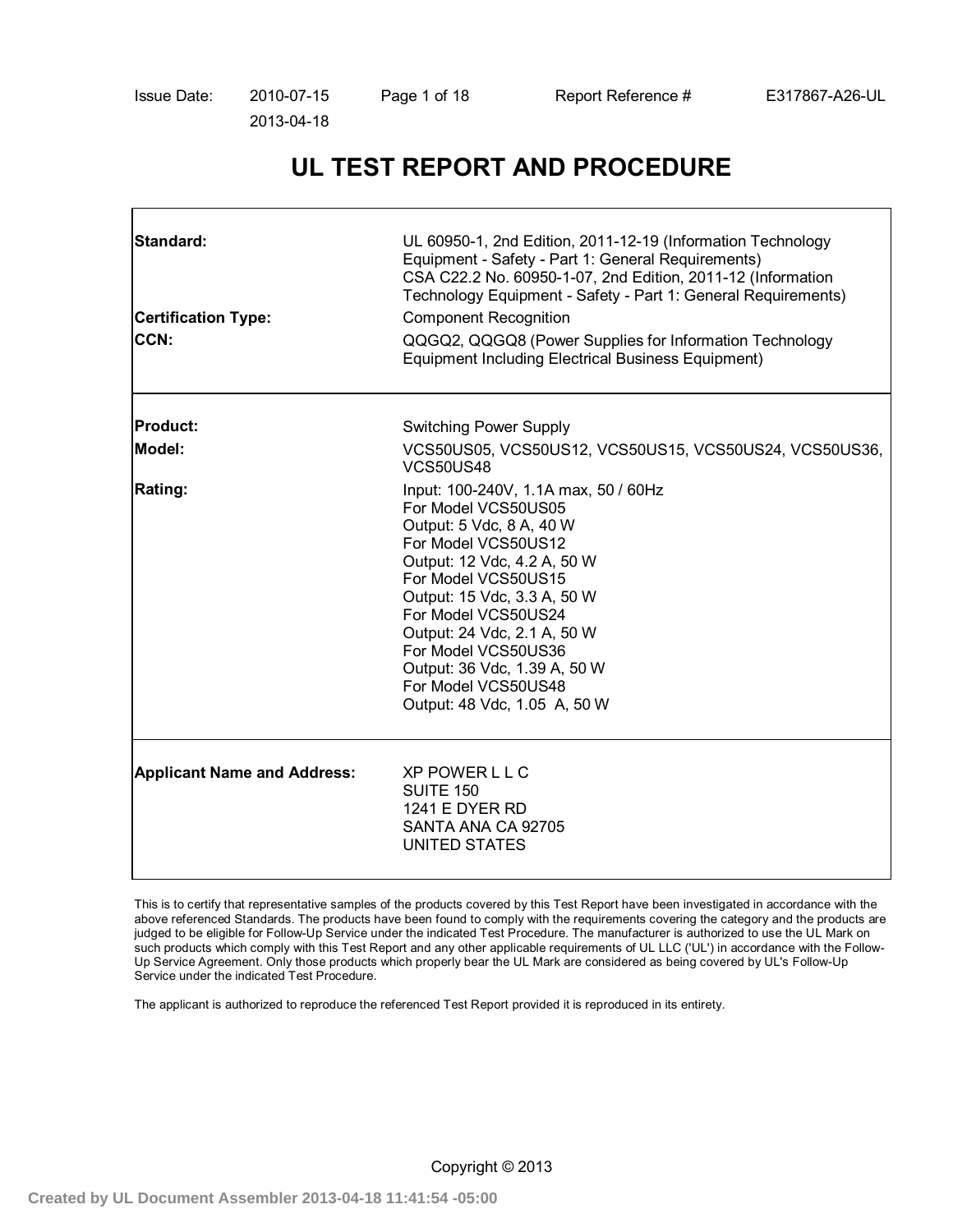# **UL TEST REPORT AND PROCEDURE**

| Standard:<br><b>Certification Type:</b><br>CCN: | UL 60950-1, 2nd Edition, 2011-12-19 (Information Technology<br>Equipment - Safety - Part 1: General Requirements)<br>CSA C22.2 No. 60950-1-07, 2nd Edition, 2011-12 (Information<br>Technology Equipment - Safety - Part 1: General Requirements)<br><b>Component Recognition</b><br>QQGQ2, QQGQ8 (Power Supplies for Information Technology<br><b>Equipment Including Electrical Business Equipment)</b> |
|-------------------------------------------------|-----------------------------------------------------------------------------------------------------------------------------------------------------------------------------------------------------------------------------------------------------------------------------------------------------------------------------------------------------------------------------------------------------------|
| <b>Product:</b>                                 | Switching Power Supply                                                                                                                                                                                                                                                                                                                                                                                    |
| Model:                                          | VCS50US05, VCS50US12, VCS50US15, VCS50US24, VCS50US36,<br><b>VCS50US48</b>                                                                                                                                                                                                                                                                                                                                |
| <b>Rating:</b>                                  | Input: 100-240V, 1.1A max, 50 / 60Hz<br>For Model VCS50US05<br>Output: 5 Vdc, 8 A, 40 W<br>For Model VCS50US12<br>Output: 12 Vdc, 4.2 A, 50 W<br>For Model VCS50US15<br>Output: 15 Vdc, 3.3 A, 50 W<br>For Model VCS50US24<br>Output: 24 Vdc, 2.1 A, 50 W<br>For Model VCS50US36<br>Output: 36 Vdc, 1.39 A, 50 W<br>For Model VCS50US48<br>Output: 48 Vdc, 1.05 A, 50 W                                   |
| <b>Applicant Name and Address:</b>              | XP POWER L L C<br><b>SUITE 150</b><br><b>1241 E DYER RD</b><br>SANTA ANA CA 92705<br>UNITED STATES                                                                                                                                                                                                                                                                                                        |

This is to certify that representative samples of the products covered by this Test Report have been investigated in accordance with the above referenced Standards. The products have been found to comply with the requirements covering the category and the products are judged to be eligible for Follow-Up Service under the indicated Test Procedure. The manufacturer is authorized to use the UL Mark on such products which comply with this Test Report and any other applicable requirements of UL LLC ('UL') in accordance with the Follow-Up Service Agreement. Only those products which properly bear the UL Mark are considered as being covered by UL's Follow-Up Service under the indicated Test Procedure.

The applicant is authorized to reproduce the referenced Test Report provided it is reproduced in its entirety.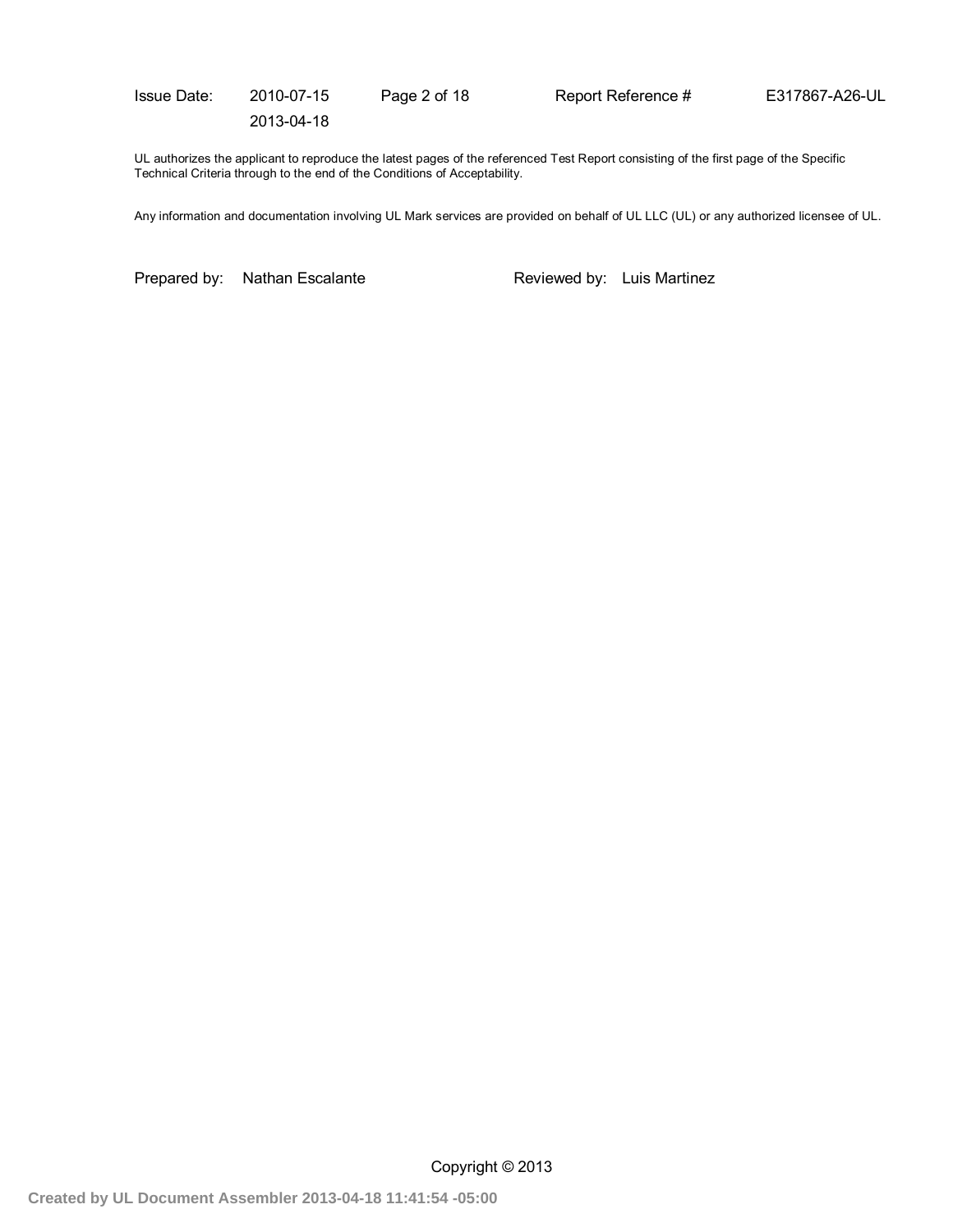Issue Date: 2010-07-15 Page 2 of 18 Report Reference # E317867-A26-UL 2013-04-18

UL authorizes the applicant to reproduce the latest pages of the referenced Test Report consisting of the first page of the Specific Technical Criteria through to the end of the Conditions of Acceptability.

Any information and documentation involving UL Mark services are provided on behalf of UL LLC (UL) or any authorized licensee of UL.

Prepared by: Nathan Escalante Reviewed by: Luis Martinez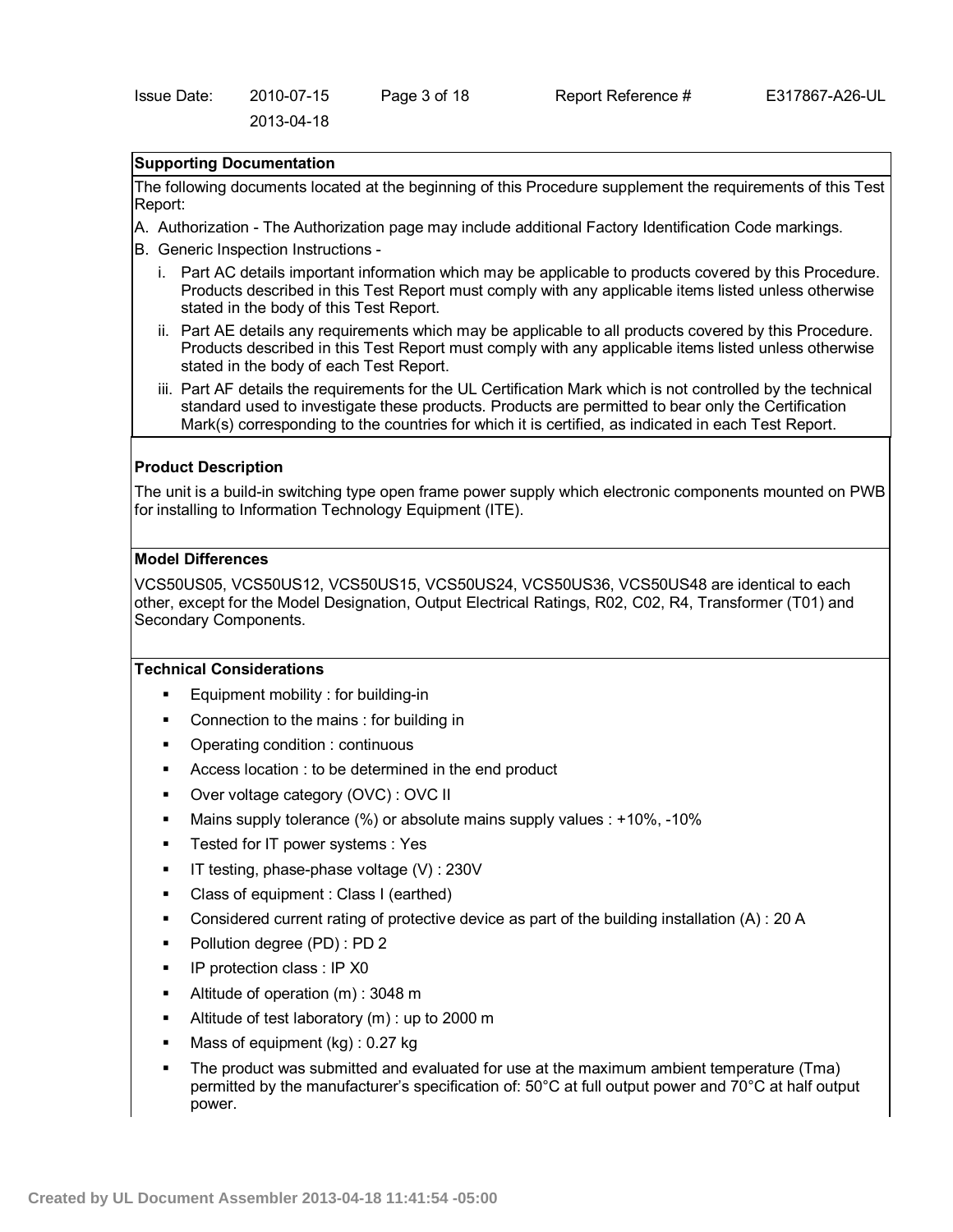# **Supporting Documentation**

The following documents located at the beginning of this Procedure supplement the requirements of this Test Report:

- A. Authorization The Authorization page may include additional Factory Identification Code markings.
- B. Generic Inspection Instructions
	- i. Part AC details important information which may be applicable to products covered by this Procedure. Products described in this Test Report must comply with any applicable items listed unless otherwise stated in the body of this Test Report.
	- ii. Part AE details any requirements which may be applicable to all products covered by this Procedure. Products described in this Test Report must comply with any applicable items listed unless otherwise stated in the body of each Test Report.
	- iii. Part AF details the requirements for the UL Certification Mark which is not controlled by the technical standard used to investigate these products. Products are permitted to bear only the Certification Mark(s) corresponding to the countries for which it is certified, as indicated in each Test Report.

### **Product Description**

The unit is a build-in switching type open frame power supply which electronic components mounted on PWB for installing to Information Technology Equipment (ITE).

## **Model Differences**

VCS50US05, VCS50US12, VCS50US15, VCS50US24, VCS50US36, VCS50US48 are identical to each other, except for the Model Designation, Output Electrical Ratings, R02, C02, R4, Transformer (T01) and Secondary Components.

#### **Technical Considerations**

- Equipment mobility : for building-in
- **Connection to the mains : for building in**
- Operating condition : continuous
- Access location : to be determined in the end product
- Over voltage category (OVC) : OVC II
- Mains supply tolerance (%) or absolute mains supply values : +10%, -10%
- Tested for IT power systems : Yes
- $\blacksquare$  IT testing, phase-phase voltage (V) : 230V
- Class of equipment : Class I (earthed)
- Considered current rating of protective device as part of the building installation (A) : 20 A
- Pollution degree (PD) : PD 2
- **IP protection class : IP X0**
- Altitude of operation (m) : 3048 m
- Altitude of test laboratory (m) : up to 2000 m
- Mass of equipment (kg) : 0.27 kg
- The product was submitted and evaluated for use at the maximum ambient temperature (Tma) permitted by the manufacturer's specification of: 50°C at full output power and 70°C at half output power.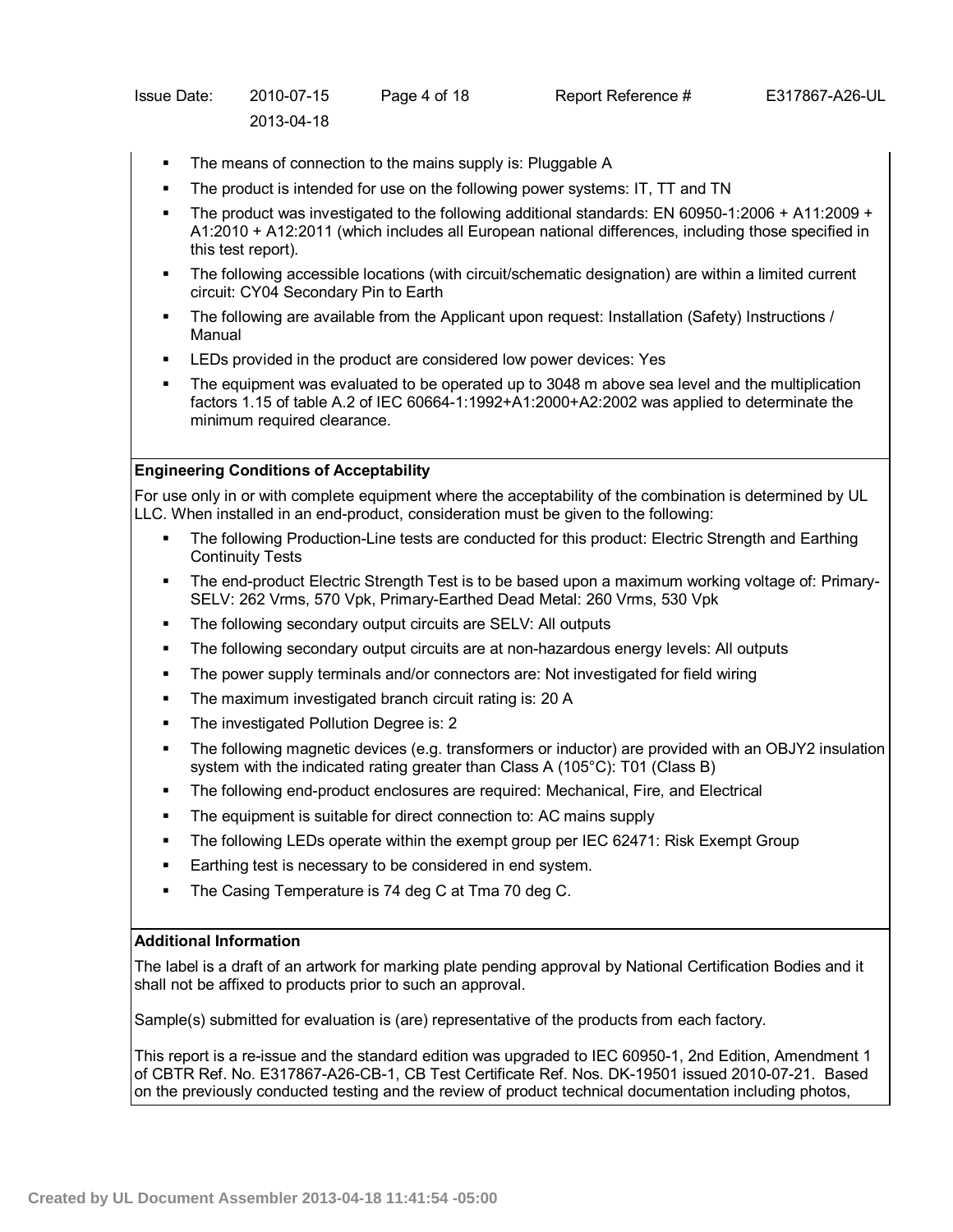| <b>Issue Date:</b> | 2010-07-15 | Page 4 of 18 | Report Reference # | E317867-A26-UL |
|--------------------|------------|--------------|--------------------|----------------|
|                    | 2013-04-18 |              |                    |                |

- The means of connection to the mains supply is: Pluggable A
- The product is intended for use on the following power systems: IT, TT and TN
- The product was investigated to the following additional standards: EN 60950-1:2006 + A11:2009 + A1:2010 + A12:2011 (which includes all European national differences, including those specified in this test report).
- The following accessible locations (with circuit/schematic designation) are within a limited current circuit: CY04 Secondary Pin to Earth
- The following are available from the Applicant upon request: Installation (Safety) Instructions / Manual
- LEDs provided in the product are considered low power devices: Yes
- The equipment was evaluated to be operated up to 3048 m above sea level and the multiplication factors 1.15 of table A.2 of IEC 60664-1:1992+A1:2000+A2:2002 was applied to determinate the minimum required clearance.

# **Engineering Conditions of Acceptability**

For use only in or with complete equipment where the acceptability of the combination is determined by UL LLC. When installed in an end-product, consideration must be given to the following:

- The following Production-Line tests are conducted for this product: Electric Strength and Earthing Continuity Tests
- The end-product Electric Strength Test is to be based upon a maximum working voltage of: Primary-SELV: 262 Vrms, 570 Vpk, Primary-Earthed Dead Metal: 260 Vrms, 530 Vpk
- The following secondary output circuits are SELV: All outputs
- The following secondary output circuits are at non-hazardous energy levels: All outputs
- The power supply terminals and/or connectors are: Not investigated for field wiring
- The maximum investigated branch circuit rating is: 20 A
- The investigated Pollution Degree is: 2
- The following magnetic devices (e.g. transformers or inductor) are provided with an OBJY2 insulation system with the indicated rating greater than Class A (105°C): T01 (Class B)
- The following end-product enclosures are required: Mechanical, Fire, and Electrical
- The equipment is suitable for direct connection to: AC mains supply
- The following LEDs operate within the exempt group per IEC 62471: Risk Exempt Group
- Earthing test is necessary to be considered in end system.
- The Casing Temperature is 74 deg C at Tma 70 deg C.

# **Additional Information**

The label is a draft of an artwork for marking plate pending approval by National Certification Bodies and it shall not be affixed to products prior to such an approval.

Sample(s) submitted for evaluation is (are) representative of the products from each factory.

This report is a re-issue and the standard edition was upgraded to IEC 60950-1, 2nd Edition, Amendment 1 of CBTR Ref. No. E317867-A26-CB-1, CB Test Certificate Ref. Nos. DK-19501 issued 2010-07-21. Based on the previously conducted testing and the review of product technical documentation including photos,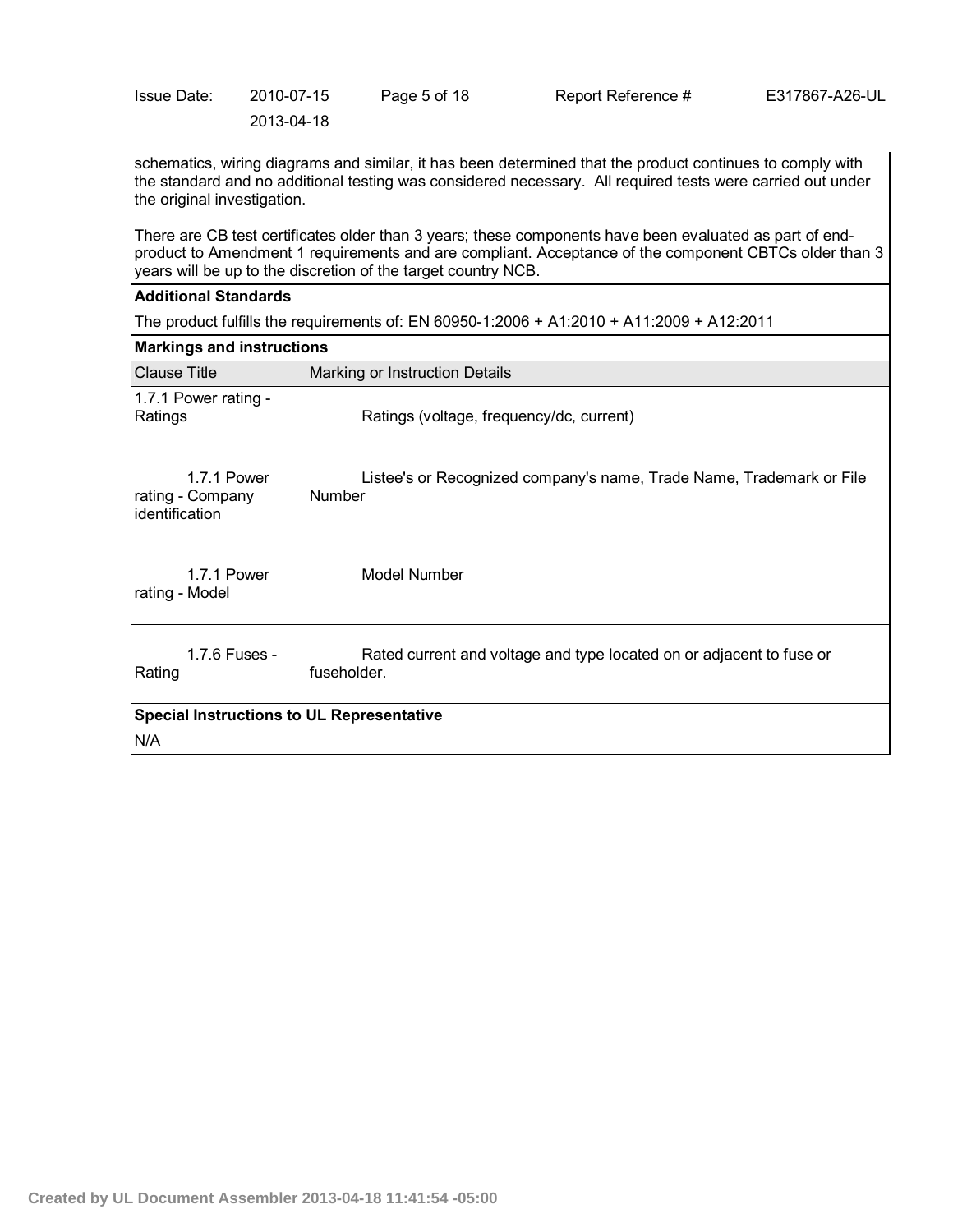| lssue Date: | 2010-07-15 | Page 5 of 18 | Report Reference # |  |
|-------------|------------|--------------|--------------------|--|
|             | 2013-04-18 |              |                    |  |

schematics, wiring diagrams and similar, it has been determined that the product continues to comply with the standard and no additional testing was considered necessary. All required tests were carried out under the original investigation.

E317867-A26-UL

There are CB test certificates older than 3 years; these components have been evaluated as part of endproduct to Amendment 1 requirements and are compliant. Acceptance of the component CBTCs older than 3 years will be up to the discretion of the target country NCB.

## **Additional Standards**

The product fulfills the requirements of: EN 60950-1:2006 + A1:2010 + A11:2009 + A12:2011

| <b>Markings and instructions</b>                  |                                                                                     |  |
|---------------------------------------------------|-------------------------------------------------------------------------------------|--|
| <b>Clause Title</b>                               | Marking or Instruction Details                                                      |  |
| 1.7.1 Power rating -<br>Ratings                   | Ratings (voltage, frequency/dc, current)                                            |  |
| 1.7.1 Power<br>rating - Company<br>identification | Listee's or Recognized company's name, Trade Name, Trademark or File<br>Number      |  |
| 1.7.1 Power<br>rating - Model                     | Model Number                                                                        |  |
| 1.7.6 Fuses -<br>Rating                           | Rated current and voltage and type located on or adjacent to fuse or<br>fuseholder. |  |
| <b>Special Instructions to UL Representative</b>  |                                                                                     |  |
| N/A                                               |                                                                                     |  |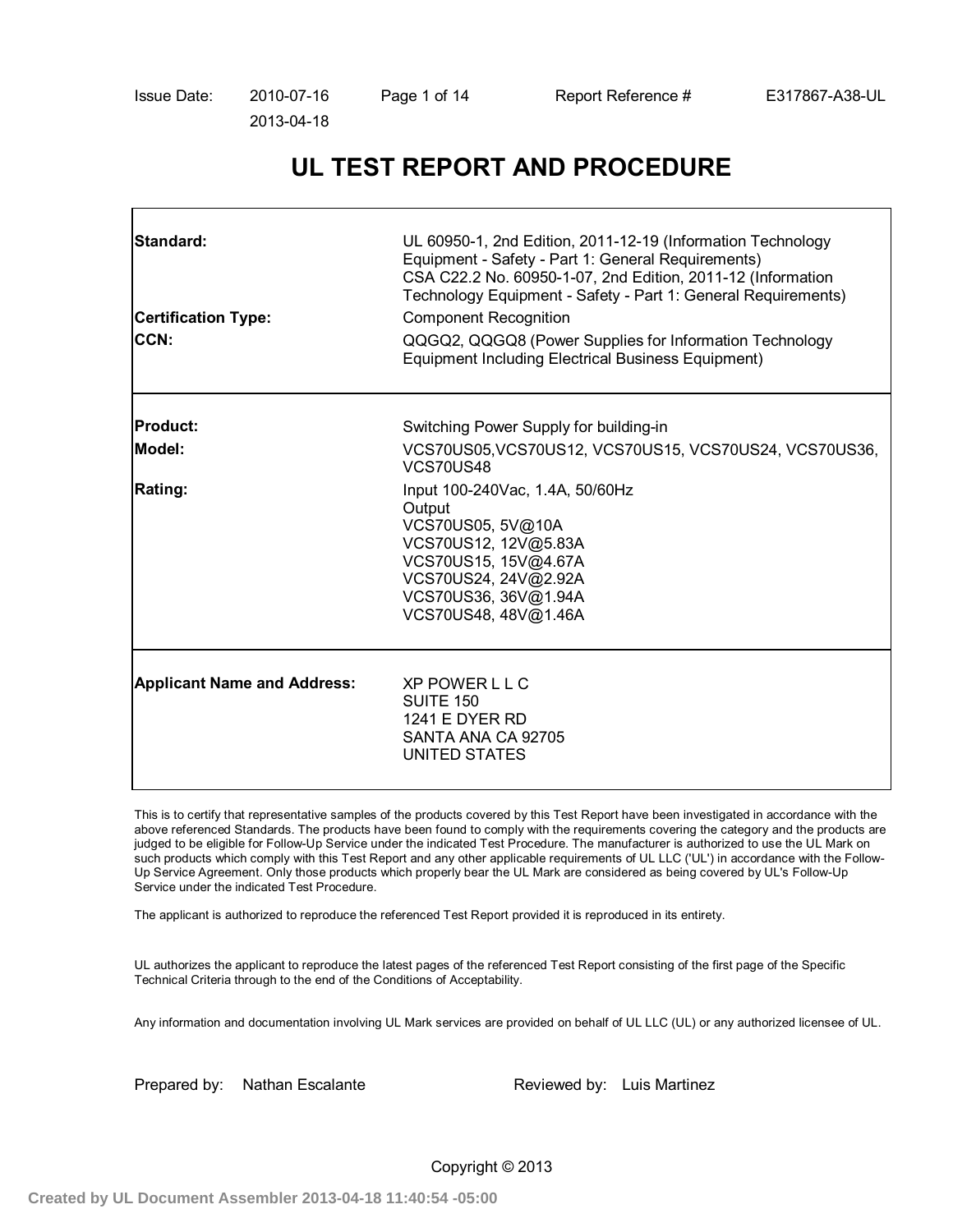# **UL TEST REPORT AND PROCEDURE**

| <b>Standard:</b><br><b>Certification Type:</b><br><b>CCN:</b> | UL 60950-1, 2nd Edition, 2011-12-19 (Information Technology<br>Equipment - Safety - Part 1: General Requirements)<br>CSA C22.2 No. 60950-1-07, 2nd Edition, 2011-12 (Information<br>Technology Equipment - Safety - Part 1: General Requirements)<br><b>Component Recognition</b><br>QQGQ2, QQGQ8 (Power Supplies for Information Technology<br><b>Equipment Including Electrical Business Equipment)</b> |
|---------------------------------------------------------------|-----------------------------------------------------------------------------------------------------------------------------------------------------------------------------------------------------------------------------------------------------------------------------------------------------------------------------------------------------------------------------------------------------------|
| <b>Product:</b>                                               | Switching Power Supply for building-in                                                                                                                                                                                                                                                                                                                                                                    |
| Model:                                                        | VCS70US05, VCS70US12, VCS70US15, VCS70US24, VCS70US36,<br>VCS70US48                                                                                                                                                                                                                                                                                                                                       |
| <b>Rating:</b>                                                | Input 100-240Vac, 1.4A, 50/60Hz<br>Output<br>VCS70US05, 5V@10A<br>VCS70US12, 12V@5.83A<br>VCS70US15, 15V@4.67A<br>VCS70US24, 24V@2.92A<br>VCS70US36, 36V@1.94A<br>VCS70US48, 48V@1.46A                                                                                                                                                                                                                    |
| <b>Applicant Name and Address:</b>                            | <b>XP POWER L L C</b><br><b>SUITE 150</b><br><b>1241 E DYER RD</b><br>SANTA ANA CA 92705<br>UNITED STATES                                                                                                                                                                                                                                                                                                 |

This is to certify that representative samples of the products covered by this Test Report have been investigated in accordance with the above referenced Standards. The products have been found to comply with the requirements covering the category and the products are judged to be eligible for Follow-Up Service under the indicated Test Procedure. The manufacturer is authorized to use the UL Mark on such products which comply with this Test Report and any other applicable requirements of UL LLC ('UL') in accordance with the Follow-Up Service Agreement. Only those products which properly bear the UL Mark are considered as being covered by UL's Follow-Up Service under the indicated Test Procedure.

The applicant is authorized to reproduce the referenced Test Report provided it is reproduced in its entirety.

UL authorizes the applicant to reproduce the latest pages of the referenced Test Report consisting of the first page of the Specific Technical Criteria through to the end of the Conditions of Acceptability.

Any information and documentation involving UL Mark services are provided on behalf of UL LLC (UL) or any authorized licensee of UL.

Prepared by: Nathan Escalante Reviewed by: Luis Martinez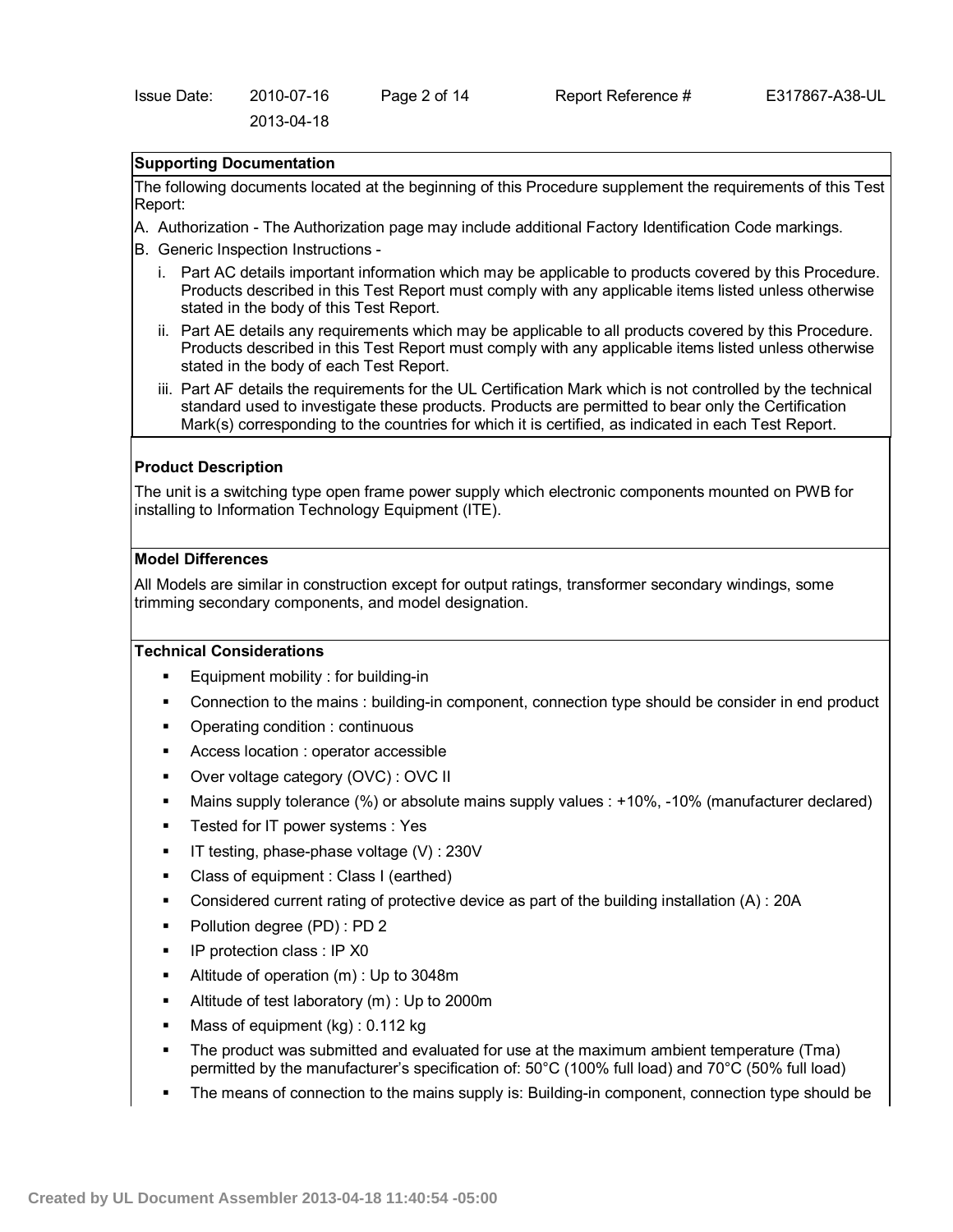## **Supporting Documentation**

The following documents located at the beginning of this Procedure supplement the requirements of this Test Report:

- A. Authorization The Authorization page may include additional Factory Identification Code markings.
- B. Generic Inspection Instructions
	- i. Part AC details important information which may be applicable to products covered by this Procedure. Products described in this Test Report must comply with any applicable items listed unless otherwise stated in the body of this Test Report.
	- ii. Part AE details any requirements which may be applicable to all products covered by this Procedure. Products described in this Test Report must comply with any applicable items listed unless otherwise stated in the body of each Test Report.
	- iii. Part AF details the requirements for the UL Certification Mark which is not controlled by the technical standard used to investigate these products. Products are permitted to bear only the Certification Mark(s) corresponding to the countries for which it is certified, as indicated in each Test Report.

### **Product Description**

The unit is a switching type open frame power supply which electronic components mounted on PWB for installing to Information Technology Equipment (ITE).

#### **Model Differences**

All Models are similar in construction except for output ratings, transformer secondary windings, some trimming secondary components, and model designation.

#### **Technical Considerations**

- Equipment mobility : for building-in
- Connection to the mains : building-in component, connection type should be consider in end product
- Operating condition : continuous
- Access location : operator accessible
- Over voltage category (OVC) : OVC II
- Mains supply tolerance (%) or absolute mains supply values : +10%, -10% (manufacturer declared)
- Tested for IT power systems : Yes
- IT testing, phase-phase voltage (V) : 230V
- Class of equipment : Class I (earthed)
- Considered current rating of protective device as part of the building installation (A) : 20A
- Pollution degree (PD) : PD 2
- IP protection class : IP X0
- Altitude of operation (m) : Up to 3048m
- Altitude of test laboratory (m) : Up to 2000m
- Mass of equipment (kg) : 0.112 kg
- The product was submitted and evaluated for use at the maximum ambient temperature (Tma) permitted by the manufacturer's specification of: 50°C (100% full load) and 70°C (50% full load)
- The means of connection to the mains supply is: Building-in component, connection type should be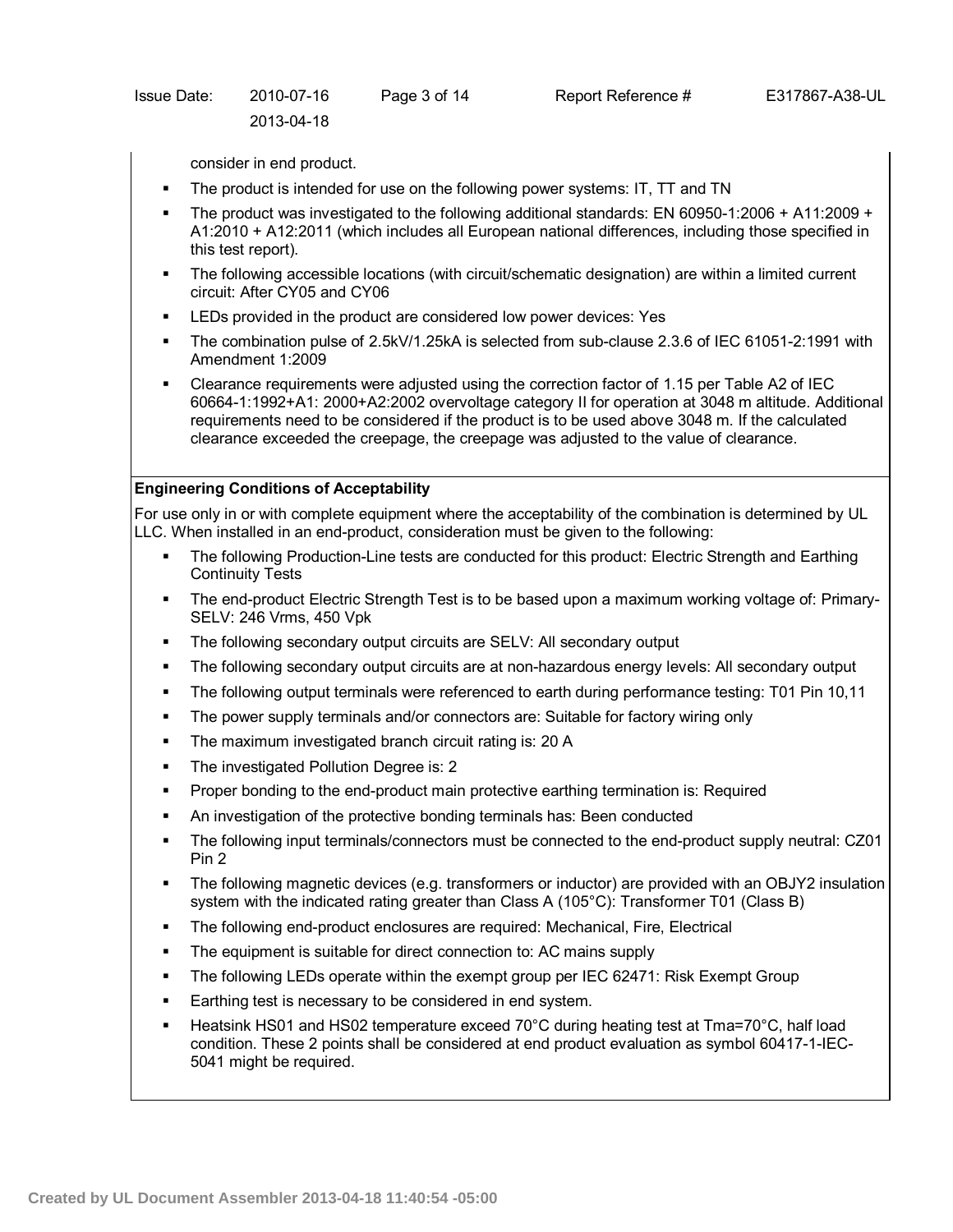| Issue Date: | 2010-07-16 | Page 3 of |
|-------------|------------|-----------|
|             | 2013-04-18 |           |

consider in end product.

- The product is intended for use on the following power systems: IT, TT and TN
- The product was investigated to the following additional standards: EN 60950-1:2006 + A11:2009 + A1:2010 + A12:2011 (which includes all European national differences, including those specified in this test report).
- The following accessible locations (with circuit/schematic designation) are within a limited current circuit: After CY05 and CY06
- LEDs provided in the product are considered low power devices: Yes
- The combination pulse of 2.5kV/1.25kA is selected from sub-clause 2.3.6 of IEC 61051-2:1991 with Amendment 1:2009
- Clearance requirements were adjusted using the correction factor of 1.15 per Table A2 of IEC 60664-1:1992+A1: 2000+A2:2002 overvoltage category II for operation at 3048 m altitude. Additional requirements need to be considered if the product is to be used above 3048 m. If the calculated clearance exceeded the creepage, the creepage was adjusted to the value of clearance.

# **Engineering Conditions of Acceptability**

For use only in or with complete equipment where the acceptability of the combination is determined by UL LLC. When installed in an end-product, consideration must be given to the following:

- The following Production-Line tests are conducted for this product: Electric Strength and Earthing Continuity Tests
- The end-product Electric Strength Test is to be based upon a maximum working voltage of: Primary-SELV: 246 Vrms, 450 Vpk
- The following secondary output circuits are SELV: All secondary output
- The following secondary output circuits are at non-hazardous energy levels: All secondary output
- The following output terminals were referenced to earth during performance testing: T01 Pin 10,11
- The power supply terminals and/or connectors are: Suitable for factory wiring only
- The maximum investigated branch circuit rating is: 20 A
- The investigated Pollution Degree is: 2
- Proper bonding to the end-product main protective earthing termination is: Required
- An investigation of the protective bonding terminals has: Been conducted
- The following input terminals/connectors must be connected to the end-product supply neutral: CZ01 Pin 2
- The following magnetic devices (e.g. transformers or inductor) are provided with an OBJY2 insulation system with the indicated rating greater than Class A (105°C): Transformer T01 (Class B)
- The following end-product enclosures are required: Mechanical, Fire, Electrical
- The equipment is suitable for direct connection to: AC mains supply
- The following LEDs operate within the exempt group per IEC 62471: Risk Exempt Group
- Earthing test is necessary to be considered in end system.
- Heatsink HS01 and HS02 temperature exceed 70°C during heating test at Tma=70°C, half load condition. These 2 points shall be considered at end product evaluation as symbol 60417-1-IEC-5041 might be required.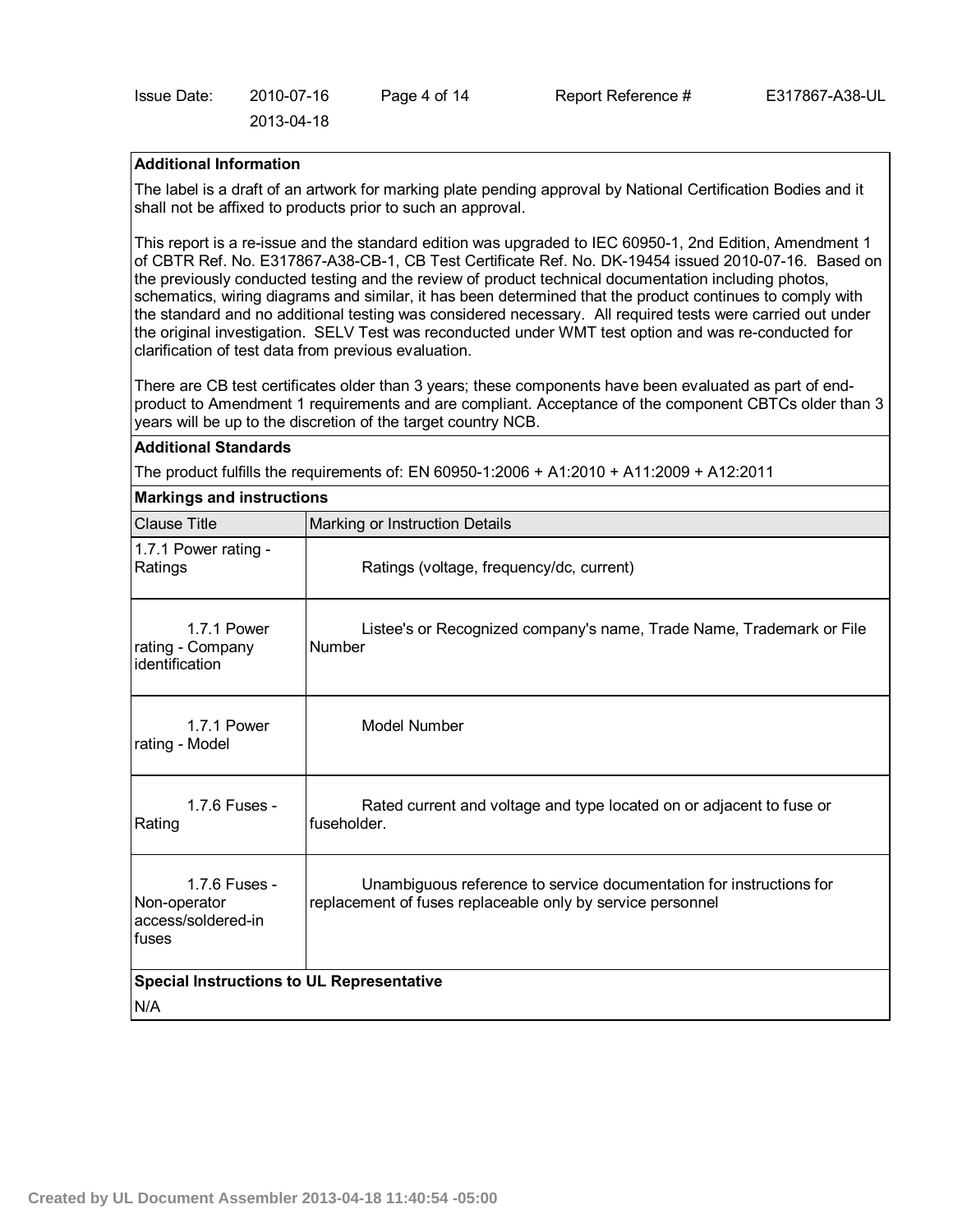| Issue Date: | 2010-07-16 | Page 4 of 14 | Rep |
|-------------|------------|--------------|-----|
|             | 2013-04-18 |              |     |

# $\text{B}$ nort Reference  $\#$  E317867-A38-UL

# **Additional Information**

The label is a draft of an artwork for marking plate pending approval by National Certification Bodies and it shall not be affixed to products prior to such an approval.

This report is a re-issue and the standard edition was upgraded to IEC 60950-1, 2nd Edition, Amendment 1 of CBTR Ref. No. E317867-A38-CB-1, CB Test Certificate Ref. No. DK-19454 issued 2010-07-16. Based on the previously conducted testing and the review of product technical documentation including photos, schematics, wiring diagrams and similar, it has been determined that the product continues to comply with the standard and no additional testing was considered necessary. All required tests were carried out under the original investigation. SELV Test was reconducted under WMT test option and was re-conducted for clarification of test data from previous evaluation.

There are CB test certificates older than 3 years; these components have been evaluated as part of endproduct to Amendment 1 requirements and are compliant. Acceptance of the component CBTCs older than 3 years will be up to the discretion of the target country NCB.

# **Additional Standards**

The product fulfills the requirements of: EN 60950-1:2006 + A1:2010 + A11:2009 + A12:2011

| <b>Markings and instructions</b>                             |                                                                                                                                   |  |
|--------------------------------------------------------------|-----------------------------------------------------------------------------------------------------------------------------------|--|
| <b>Clause Title</b>                                          | Marking or Instruction Details                                                                                                    |  |
| 1.7.1 Power rating -<br>Ratings                              | Ratings (voltage, frequency/dc, current)                                                                                          |  |
| 1.7.1 Power<br>rating - Company<br>identification            | Listee's or Recognized company's name, Trade Name, Trademark or File<br>Number                                                    |  |
| 1.7.1 Power<br>rating - Model                                | Model Number                                                                                                                      |  |
| 1.7.6 Fuses -<br>Rating                                      | Rated current and voltage and type located on or adjacent to fuse or<br>fuseholder.                                               |  |
| 1.7.6 Fuses -<br>Non-operator<br>access/soldered-in<br>fuses | Unambiguous reference to service documentation for instructions for<br>replacement of fuses replaceable only by service personnel |  |
| <b>Special Instructions to UL Representative</b>             |                                                                                                                                   |  |
| N/A                                                          |                                                                                                                                   |  |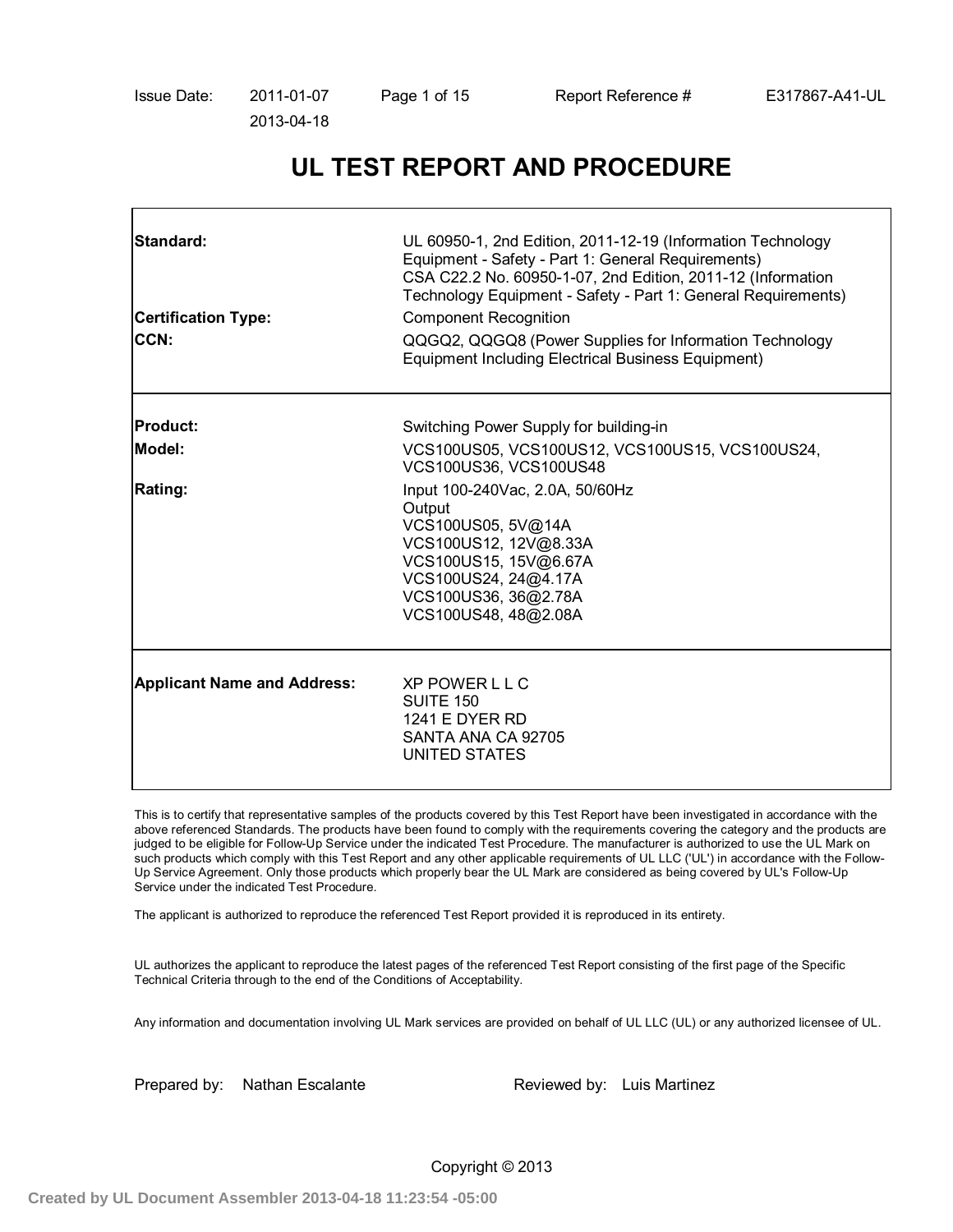# **UL TEST REPORT AND PROCEDURE**

| Standard:<br><b>Certification Type:</b><br><b>CCN:</b> | UL 60950-1, 2nd Edition, 2011-12-19 (Information Technology<br>Equipment - Safety - Part 1: General Requirements)<br>CSA C22.2 No. 60950-1-07, 2nd Edition, 2011-12 (Information<br>Technology Equipment - Safety - Part 1: General Requirements)<br><b>Component Recognition</b><br>QQGQ2, QQGQ8 (Power Supplies for Information Technology<br><b>Equipment Including Electrical Business Equipment)</b> |
|--------------------------------------------------------|-----------------------------------------------------------------------------------------------------------------------------------------------------------------------------------------------------------------------------------------------------------------------------------------------------------------------------------------------------------------------------------------------------------|
| <b>Product:</b>                                        | Switching Power Supply for building-in                                                                                                                                                                                                                                                                                                                                                                    |
| Model:                                                 | VCS100US05, VCS100US12, VCS100US15, VCS100US24,<br>VCS100US36, VCS100US48                                                                                                                                                                                                                                                                                                                                 |
| <b>Rating:</b>                                         | Input 100-240Vac, 2.0A, 50/60Hz<br>Output<br>VCS100US05, 5V@14A<br>VCS100US12, 12V@8.33A<br>VCS100US15, 15V@6.67A<br>VCS100US24, 24@4.17A<br>VCS100US36, 36@2.78A<br>VCS100US48, 48@2.08A                                                                                                                                                                                                                 |
| <b>Applicant Name and Address:</b>                     | <b>XP POWER L L C</b><br><b>SUITE 150</b><br><b>1241 E DYER RD</b><br>SANTA ANA CA 92705<br>UNITED STATES                                                                                                                                                                                                                                                                                                 |

This is to certify that representative samples of the products covered by this Test Report have been investigated in accordance with the above referenced Standards. The products have been found to comply with the requirements covering the category and the products are judged to be eligible for Follow-Up Service under the indicated Test Procedure. The manufacturer is authorized to use the UL Mark on such products which comply with this Test Report and any other applicable requirements of UL LLC ('UL') in accordance with the Follow-Up Service Agreement. Only those products which properly bear the UL Mark are considered as being covered by UL's Follow-Up Service under the indicated Test Procedure.

The applicant is authorized to reproduce the referenced Test Report provided it is reproduced in its entirety.

UL authorizes the applicant to reproduce the latest pages of the referenced Test Report consisting of the first page of the Specific Technical Criteria through to the end of the Conditions of Acceptability.

Any information and documentation involving UL Mark services are provided on behalf of UL LLC (UL) or any authorized licensee of UL.

Prepared by: Nathan Escalante Reviewed by: Luis Martinez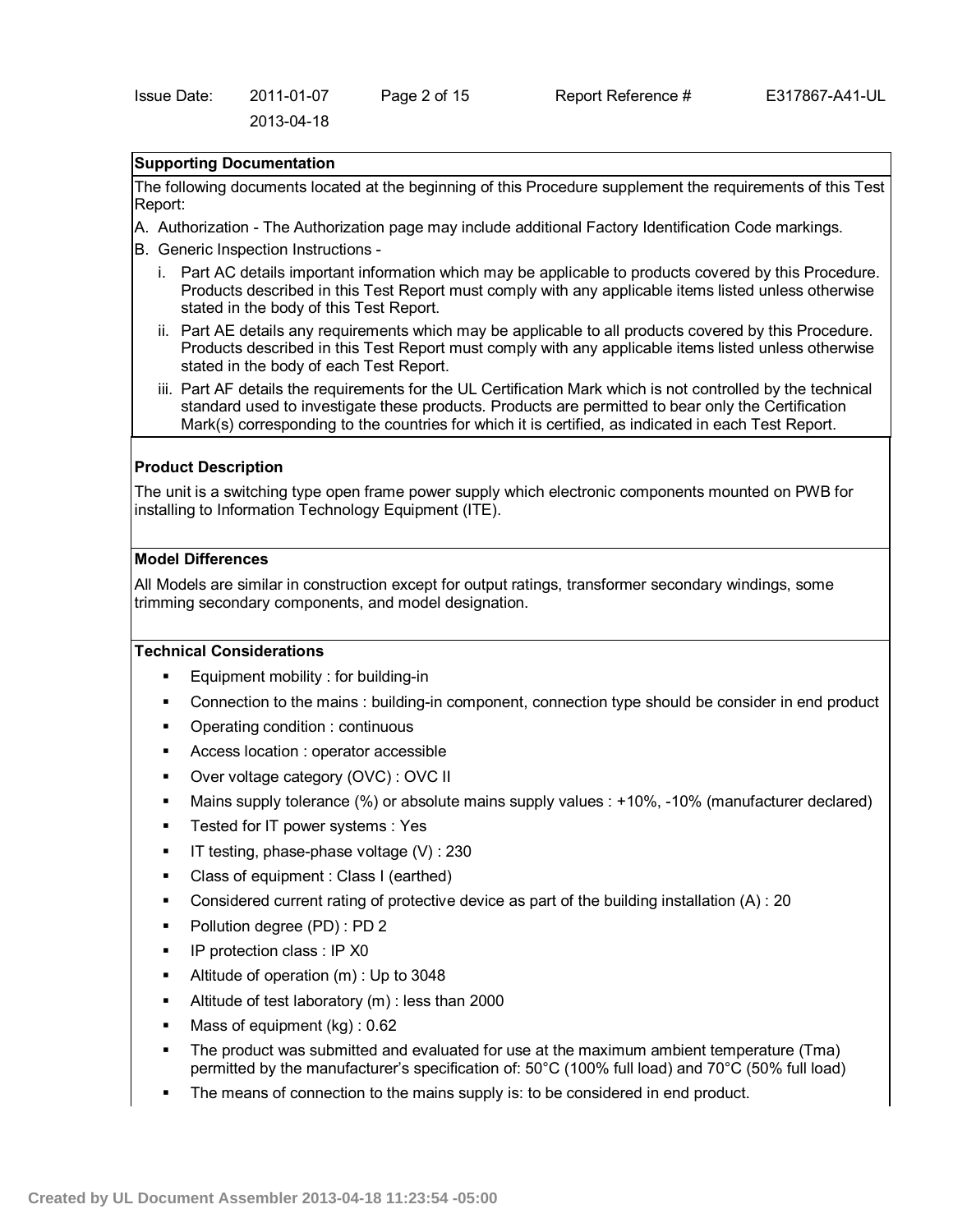# **Supporting Documentation**

The following documents located at the beginning of this Procedure supplement the requirements of this Test Report:

- A. Authorization The Authorization page may include additional Factory Identification Code markings.
- B. Generic Inspection Instructions
	- i. Part AC details important information which may be applicable to products covered by this Procedure. Products described in this Test Report must comply with any applicable items listed unless otherwise stated in the body of this Test Report.
	- ii. Part AE details any requirements which may be applicable to all products covered by this Procedure. Products described in this Test Report must comply with any applicable items listed unless otherwise stated in the body of each Test Report.
	- iii. Part AF details the requirements for the UL Certification Mark which is not controlled by the technical standard used to investigate these products. Products are permitted to bear only the Certification Mark(s) corresponding to the countries for which it is certified, as indicated in each Test Report.

### **Product Description**

The unit is a switching type open frame power supply which electronic components mounted on PWB for installing to Information Technology Equipment (ITE).

### **Model Differences**

All Models are similar in construction except for output ratings, transformer secondary windings, some trimming secondary components, and model designation.

#### **Technical Considerations**

- Equipment mobility : for building-in
- Connection to the mains : building-in component, connection type should be consider in end product
- Operating condition : continuous
- Access location : operator accessible
- Over voltage category (OVC) : OVC II
- Mains supply tolerance (%) or absolute mains supply values : +10%, -10% (manufacturer declared)
- Tested for IT power systems : Yes
- IT testing, phase-phase voltage (V) : 230
- Class of equipment : Class I (earthed)
- Considered current rating of protective device as part of the building installation  $(A)$  : 20
- Pollution degree (PD) : PD 2
- IP protection class : IP X0
- Altitude of operation (m) : Up to 3048
- Altitude of test laboratory (m) : less than 2000
- Mass of equipment (kg) : 0.62
- The product was submitted and evaluated for use at the maximum ambient temperature (Tma) permitted by the manufacturer's specification of: 50°C (100% full load) and 70°C (50% full load)
- The means of connection to the mains supply is: to be considered in end product.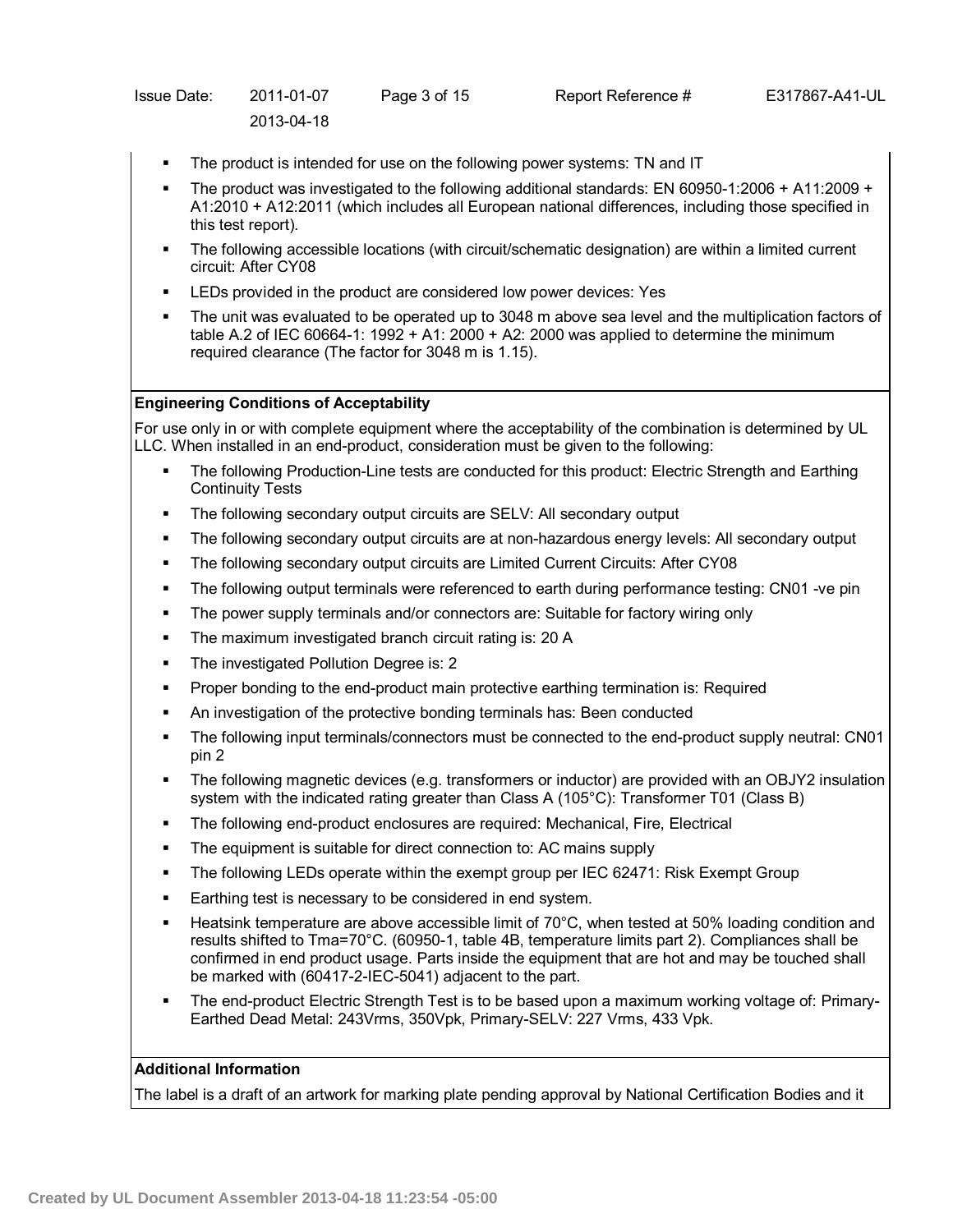| Issue Date: | 2011-01-07 | Page 3 of 15 | Rep |
|-------------|------------|--------------|-----|
|             | 2013-04-18 |              |     |

- The product is intended for use on the following power systems: TN and IT
- The product was investigated to the following additional standards: EN 60950-1:2006 + A11:2009 + A1:2010 + A12:2011 (which includes all European national differences, including those specified in this test report).
- The following accessible locations (with circuit/schematic designation) are within a limited current circuit: After CY08
- LEDs provided in the product are considered low power devices: Yes
- The unit was evaluated to be operated up to 3048 m above sea level and the multiplication factors of table A.2 of IEC 60664-1: 1992 + A1: 2000 + A2: 2000 was applied to determine the minimum required clearance (The factor for 3048 m is 1.15).

# **Engineering Conditions of Acceptability**

For use only in or with complete equipment where the acceptability of the combination is determined by UL LLC. When installed in an end-product, consideration must be given to the following:

- The following Production-Line tests are conducted for this product: Electric Strength and Earthing Continuity Tests
- The following secondary output circuits are SELV: All secondary output
- The following secondary output circuits are at non-hazardous energy levels: All secondary output
- The following secondary output circuits are Limited Current Circuits: After CY08
- The following output terminals were referenced to earth during performance testing: CN01 -ve pin
- The power supply terminals and/or connectors are: Suitable for factory wiring only
- The maximum investigated branch circuit rating is: 20 A
- The investigated Pollution Degree is: 2
- Proper bonding to the end-product main protective earthing termination is: Required
- An investigation of the protective bonding terminals has: Been conducted
- The following input terminals/connectors must be connected to the end-product supply neutral: CN01 pin 2
- The following magnetic devices (e.g. transformers or inductor) are provided with an OBJY2 insulation system with the indicated rating greater than Class A (105°C): Transformer T01 (Class B)
- The following end-product enclosures are required: Mechanical, Fire, Electrical
- The equipment is suitable for direct connection to: AC mains supply
- The following LEDs operate within the exempt group per IEC 62471: Risk Exempt Group
- Earthing test is necessary to be considered in end system.
- Heatsink temperature are above accessible limit of 70°C, when tested at 50% loading condition and results shifted to Tma=70°C. (60950-1, table 4B, temperature limits part 2). Compliances shall be confirmed in end product usage. Parts inside the equipment that are hot and may be touched shall be marked with (60417-2-IEC-5041) adjacent to the part.
- The end-product Electric Strength Test is to be based upon a maximum working voltage of: Primary-Earthed Dead Metal: 243Vrms, 350Vpk, Primary-SELV: 227 Vrms, 433 Vpk.

# **Additional Information**

The label is a draft of an artwork for marking plate pending approval by National Certification Bodies and it